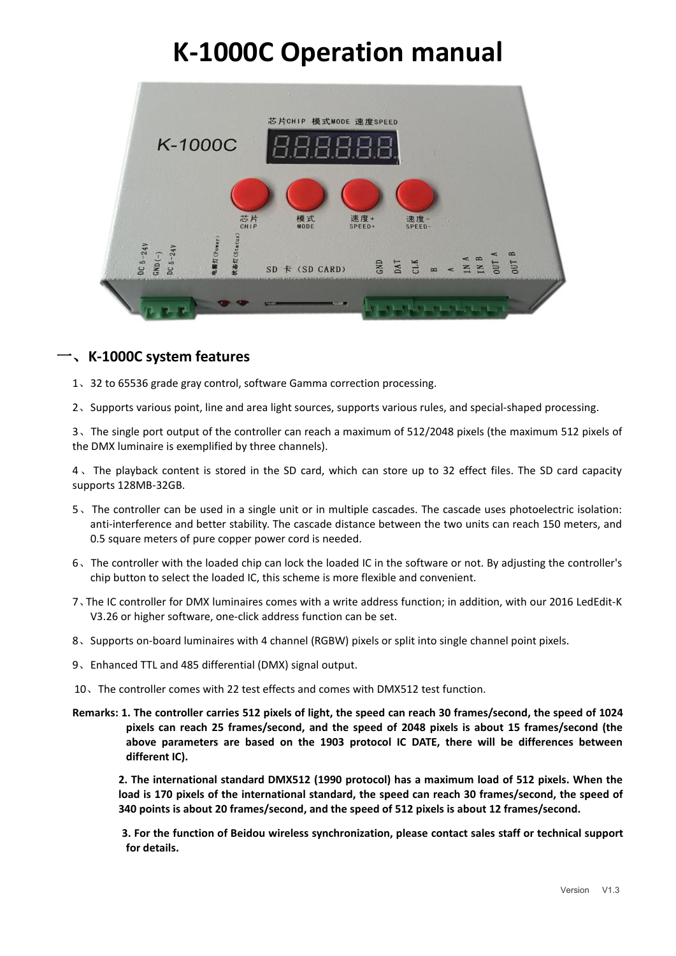# **K-1000C Operation manual**



#### 一、**K-1000C system features**

1、32 to 65536 grade gray control, software Gamma correction processing.

2、Supports various point, line and area light sources, supports various rules, and special-shaped processing.

3、The single port output of the controller can reach a maximum of 512/2048 pixels (the maximum 512 pixels of the DMX luminaire is exemplified by three channels).

4、The playback content is stored in the SD card, which can store up to 32 effect files. The SD card capacity supports 128MB-32GB.

- 5、The controller can be used in a single unit or in multiple cascades. The cascade uses photoelectric isolation: anti-interference and better stability. The cascade distance between the two units can reach 150 meters, and 0.5 square meters of pure copper power cord is needed.
- 6、The controller with the loaded chip can lock the loaded IC in the software or not.By adjusting the controller's chip button to select the loaded IC, this scheme is more flexible and convenient.
- 7、The IC controller for DMX luminaires comes with a write address function; in addition, with our 2016 LedEdit-K V3.26 or higher software, one-click address function can be set.
- 8、Supports on-board luminaires with 4 channel (RGBW) pixels or split into single channel point pixels.
- 9、Enhanced TTL and 485 differential (DMX) signal output.
- 10、The controller comes with 22 test effects and comes with DMX512 test function.
- Remarks: 1. The controller carries 512 pixels of light, the speed can reach 30 frames/second, the speed of 1024 **pixels can reach 25 frames/second, and the speed of 2048 pixels is about 15 frames/second (the above parameters are based on the 1903 protocol IC DATE, there will be differences between different IC).**

**2. The international standard DMX512 (1990 protocol) has a maximum load of 512 pixels. When the load is 170 pixels of the international standard, the speed can reach 30 frames/second, the speed of 340 points is about 20 frames/second, and the speed of 512 pixels is about 12 frames/second.**

**3. For the function of Beidou wireless synchronization, please contact sales staff or technical support for details.**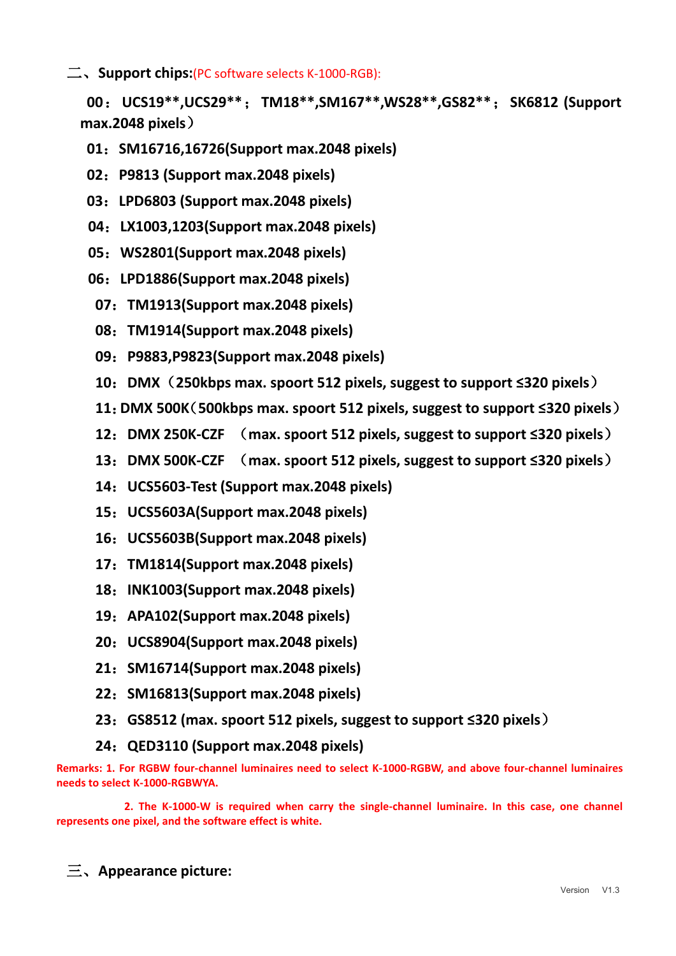二、**Support chips:**(PC software selects K-1000-RGB):

:**UCS19\*\*,UCS29\*\***;**TM18\*\*,SM167\*\*,WS28\*\*,GS82\*\***;**SK6812 (Support max.2048 pixels**)

- :**SM16716,16726(Support max.2048 pixels)**
- :**P9813 (Support max.2048 pixels)**
- :**LPD6803 (Support max.2048 pixels)**
- :**LX1003,1203(Support max.2048 pixels)**
- :**WS2801(Support max.2048 pixels)**
- :**LPD1886(Support max.2048 pixels)**
- :**TM1913(Support max.2048 pixels)**
- :**TM1914(Support max.2048 pixels)**
- :**P9883,P9823(Support max.2048 pixels)**
- :**DMX**(**250kbps max. spoort 512 pixels, suggest to support ≤320 pixels**)
- :**DMX 500K**(**500kbps max. spoort 512 pixels, suggest to support ≤320 pixels**)
- :**DMX 250K-CZF** (**max. spoort 512 pixels, suggest to support ≤320 pixels**)
- :**DMX 500K-CZF** (**max. spoort 512 pixels, suggest to support ≤320 pixels**)
- :**UCS5603-Test (Support max.2048 pixels)**
- :**UCS5603A(Support max.2048 pixels)**
- :**UCS5603B(Support max.2048 pixels)**
- :**TM1814(Support max.2048 pixels)**
- :**INK1003(Support max.2048 pixels)**
- :**APA102(Support max.2048 pixels)**
- :**UCS8904(Support max.2048 pixels)**
- :**SM16714(Support max.2048 pixels)**
- :**SM16813(Support max.2048 pixels)**
- :**GS8512 (max. spoort 512 pixels, suggest to support ≤320 pixels**)
- :**QED3110 (Support max.2048 pixels)**

**Remarks: 1. For RGBW four-channel luminaires need to select K-1000-RGBW, and above four-channel luminaires needs to select K-1000-RGBWYA.**

**2. The K-1000-W is required when carry the single-channel luminaire. In this case, one channel represents one pixel, and the software effect is white.**

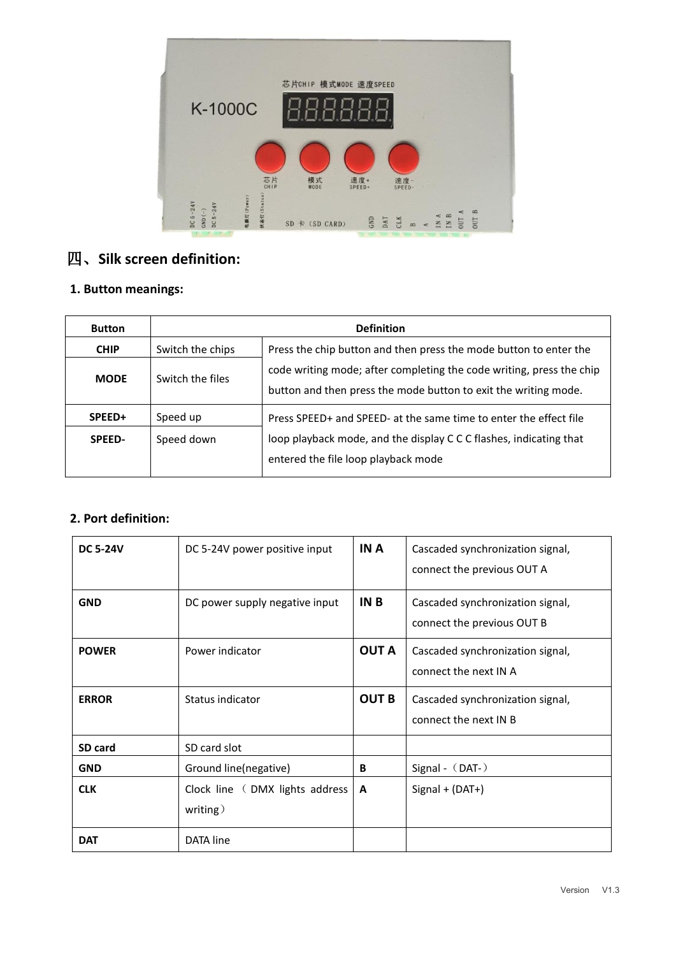

# 四、**Silk screen definition:**

# **1. Button meanings:**

| <b>Button</b> | <b>Definition</b> |                                                                                                                                         |  |  |
|---------------|-------------------|-----------------------------------------------------------------------------------------------------------------------------------------|--|--|
| <b>CHIP</b>   | Switch the chips  | Press the chip button and then press the mode button to enter the                                                                       |  |  |
| <b>MODE</b>   | Switch the files  | code writing mode; after completing the code writing, press the chip<br>button and then press the mode button to exit the writing mode. |  |  |
| SPEED+        | Speed up          | Press SPEED+ and SPEED- at the same time to enter the effect file                                                                       |  |  |
| <b>SPEED-</b> | Speed down        | loop playback mode, and the display C C C flashes, indicating that<br>entered the file loop playback mode                               |  |  |

### **2. Port definition:**

| <b>DC 5-24V</b> | DC 5-24V power positive input              | IN A         | Cascaded synchronization signal,<br>connect the previous OUT A |
|-----------------|--------------------------------------------|--------------|----------------------------------------------------------------|
| <b>GND</b>      | DC power supply negative input             | IN B         | Cascaded synchronization signal,<br>connect the previous OUT B |
| <b>POWER</b>    | Power indicator                            | <b>OUT A</b> | Cascaded synchronization signal,<br>connect the next IN A      |
| <b>ERROR</b>    | Status indicator                           | <b>OUT B</b> | Cascaded synchronization signal,<br>connect the next IN B      |
| SD card         | SD card slot                               |              |                                                                |
| <b>GND</b>      | Ground line(negative)                      | В            | Signal - $(DAT-)$                                              |
| <b>CLK</b>      | Clock line (DMX lights address<br>writing) | $\mathbf{A}$ | $Signal + (DAT+)$                                              |
| <b>DAT</b>      | DATA line                                  |              |                                                                |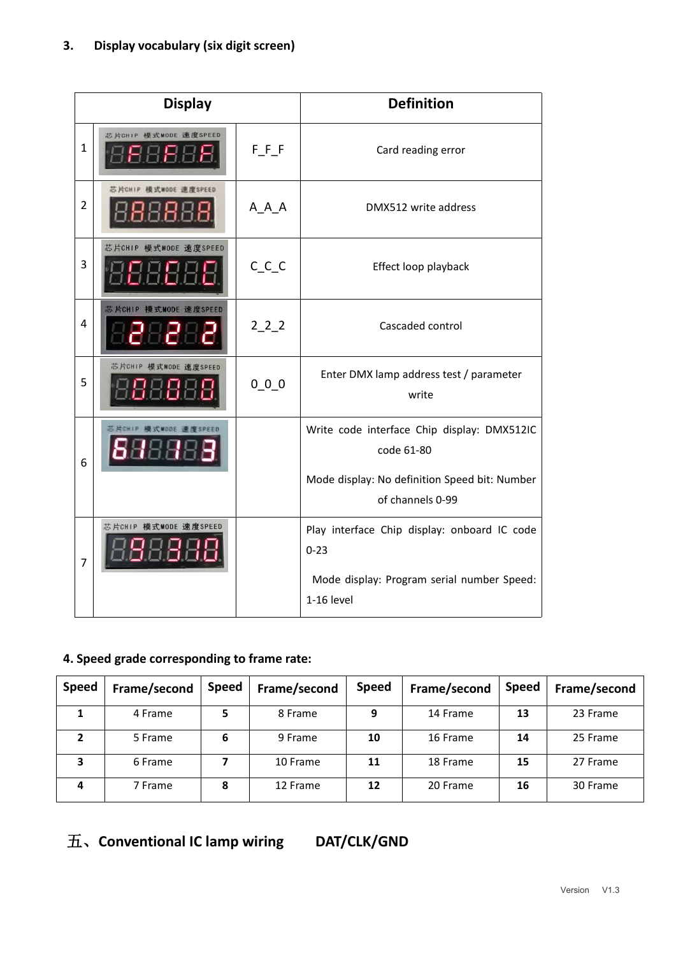|                | <b>Display</b>                |                 | <b>Definition</b>                                                                                          |
|----------------|-------------------------------|-----------------|------------------------------------------------------------------------------------------------------------|
| $\mathbf{1}$   | 芯片CHIP 模式MODE 速度SPEED<br>8888 | FFF             | Card reading error                                                                                         |
| $\overline{2}$ | 芯片CHIP 模式MODE 速度SPEED         | $A_A A$         | DMX512 write address                                                                                       |
| 3              | 芯片CHIP 模式MODE 速度SPEED         | $C_C$           | Effect loop playback                                                                                       |
| 4              | 芯片CHIP 模式MODE 速度SPEED         | $2_{2}2_{2}$    | Cascaded control                                                                                           |
| 5              | 芯片CHIP 模式MODE 速度SPEED         | $0_{0}$ $0_{0}$ | Enter DMX lamp address test / parameter<br>write                                                           |
| 6              | 芯片CHIP 模式MODE 速度SPEED         |                 | Write code interface Chip display: DMX512IC<br>code 61-80<br>Mode display: No definition Speed bit: Number |
|                |                               |                 | of channels 0-99                                                                                           |
| $\overline{7}$ | 芯片CHIP 模式MODE 速度SPEED         |                 | Play interface Chip display: onboard IC code<br>$0 - 23$                                                   |
|                |                               |                 | Mode display: Program serial number Speed:<br>1-16 level                                                   |

### **4. Speed grade corresponding to frame rate:**

| <b>Speed</b> | Frame/second | <b>Speed</b> | Frame/second | <b>Speed</b> | Frame/second | <b>Speed</b> | Frame/second |
|--------------|--------------|--------------|--------------|--------------|--------------|--------------|--------------|
|              | 4 Frame      | 5            | 8 Frame      | 9            | 14 Frame     | 13           | 23 Frame     |
|              | 5 Frame      | 6            | 9 Frame      | 10           | 16 Frame     | 14           | 25 Frame     |
|              | 6 Frame      |              | 10 Frame     | 11           | 18 Frame     | 15           | 27 Frame     |
| 4            | 7 Frame      | 8            | 12 Frame     | 12           | 20 Frame     | 16           | 30 Frame     |

# 五、**Conventional IC lamp wiring DAT/CLK/GND**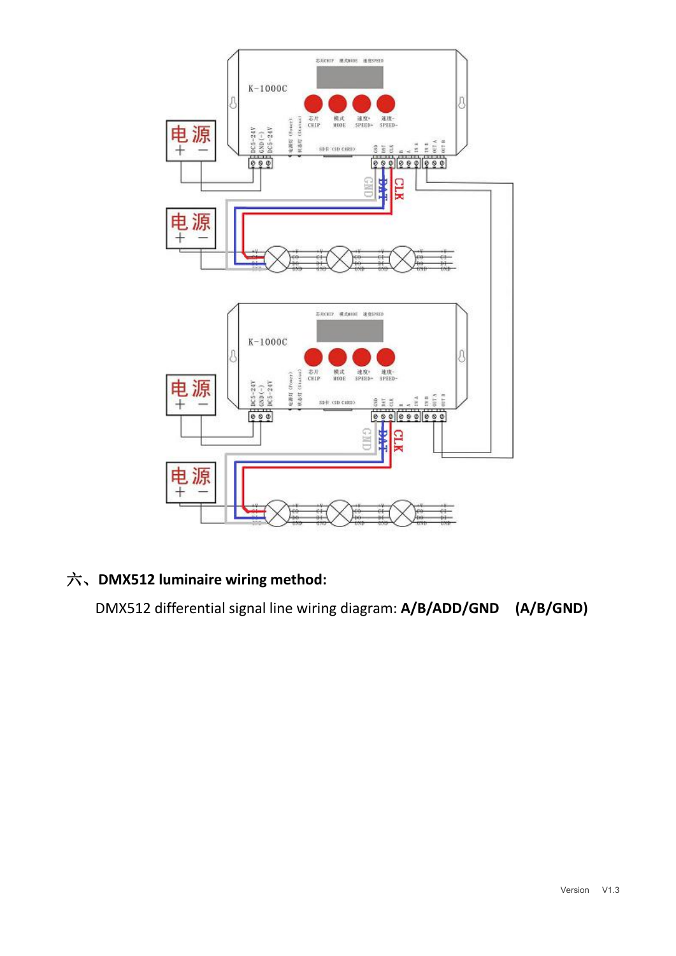

# 六、**DMX512 luminaire wiring method:**

DMX512 differential signal line wiring diagram: **A/B/ADD/GND (A/B/GND)**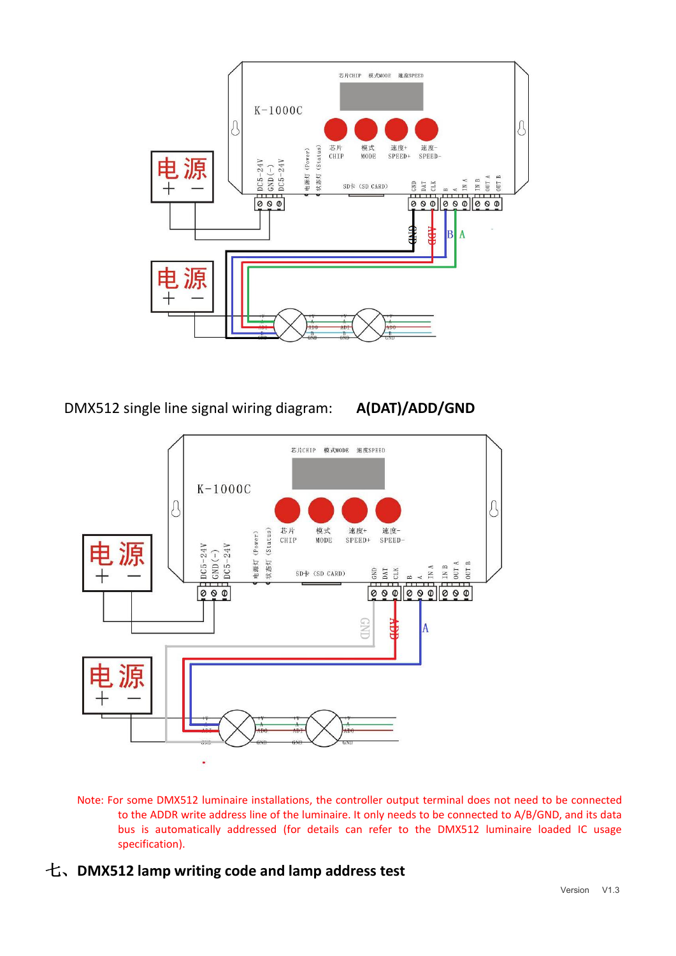

DMX512 single line signal wiring diagram: **A(DAT)/ADD/GND**



Note: For some DMX512 luminaire installations, the controller output terminal does not need to be connected to the ADDR write address line of the luminaire. It only needs to be connected to A/B/GND, and its data bus is automatically addressed (for details can refer to the DMX512 luminaire loaded IC usage specification).

# 七、**DMX512 lamp writing code and lamp address test**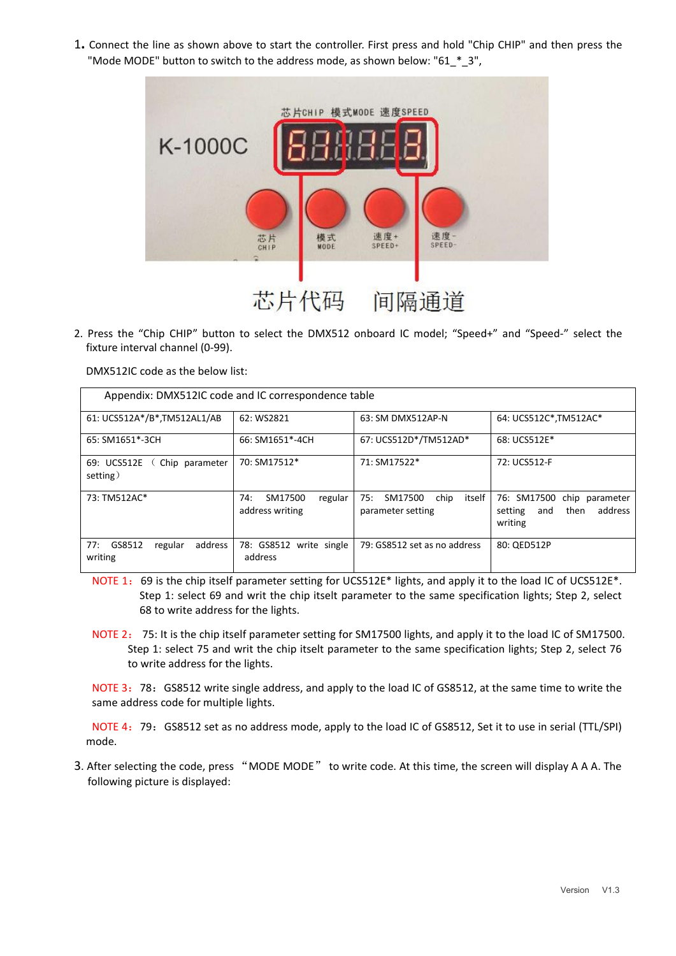1**.** Connect the line as shown above to start the controller. First press and hold "Chip CHIP" and then press the "Mode MODE" button to switch to the address mode, as shown below: "61 \* 3",



2. Press the "Chip CHIP" button to select the DMX512 onboard IC model; "Speed+" and "Speed-" select the fixture interval channel (0-99).

DMX512IC code as the below list:

| Appendix: DMX512IC code and IC correspondence table |                                              |                                                       |                                                                            |
|-----------------------------------------------------|----------------------------------------------|-------------------------------------------------------|----------------------------------------------------------------------------|
| 61: UCS512A*/B*,TM512AL1/AB                         | 62: WS2821                                   | 63: SM DMX512AP-N                                     | 64: UCS512C*, TM512AC*                                                     |
| 65: SM1651*-3CH                                     | 66: SM1651*-4CH                              | 67: UCS512D*/TM512AD*                                 | 68: UCS512E*                                                               |
| 69: UCS512E<br>Chip parameter<br>setting)           | 70: SM17512*                                 | 71: SM17522*                                          | 72: UCS512-F                                                               |
| 73: TM512AC*                                        | SM17500<br>74:<br>regular<br>address writing | itself<br>75:<br>SM17500<br>chip<br>parameter setting | 76: SM17500 chip parameter<br>then<br>address<br>setting<br>and<br>writing |
| GS8512<br>address<br>77:<br>regular<br>writing      | 78: GS8512 write single<br>address           | 79: GS8512 set as no address                          | 80: OED512P                                                                |

NOTE 1: 69 is the chip itself parameter setting for UCS512E\* lights, and apply it to the load IC of UCS512E\*. Step 1: select 69 and writ the chip itselt parameter to the same specification lights; Step 2, select 68 to write address for the lights.

NOTE 2: 75: It is the chip itself parameter setting for SM17500 lights, and apply it to the load IC of SM17500. Step 1: select 75 and writ the chip itselt parameter to the same specification lights; Step 2, select 76 to write address for the lights.

NOTE 3: 78: GS8512 write single address, and apply to the load IC of GS8512, at the same time to write the same address code for multiple lights.

NOTE 4: 79: GS8512 set as no address mode, apply to the load IC of GS8512, Set it to use in serial (TTL/SPI) mode.

3. After selecting the code, press "MODE MODE" to write code. At this time, the screen will display A A A. The following picture is displayed: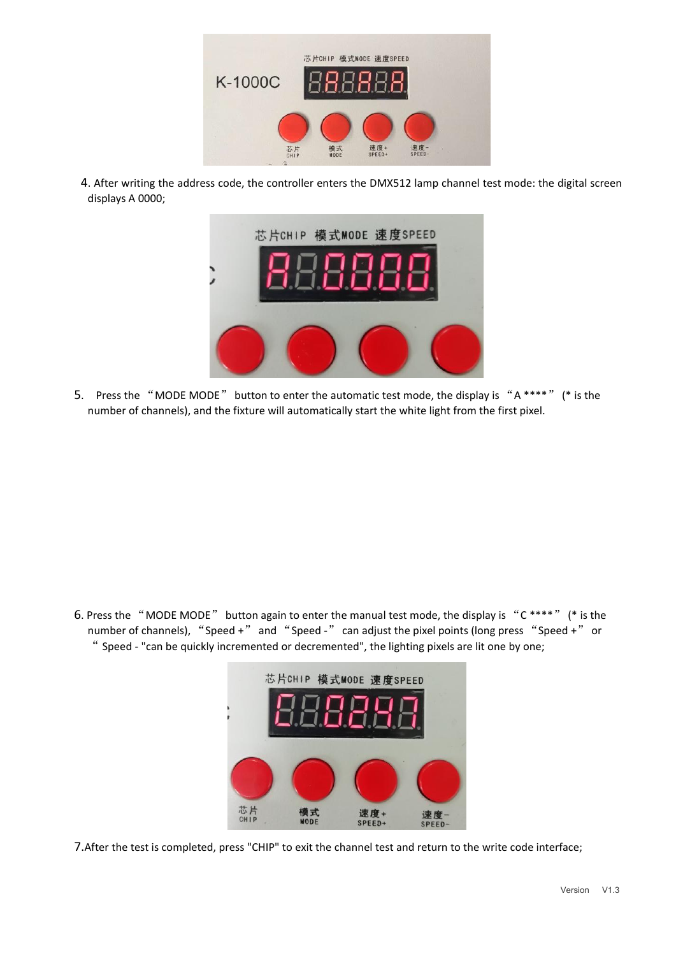

4. After writing the address code, the controller enters the DMX512 lamp channel test mode: the digital screen displays A 0000;



5. Press the "MODE MODE" button to enter the automatic test mode, the display is "A \*\*\*\*" (\* is the number of channels), and the fixture will automatically start the white light from the first pixel.

6. Press the "MODE MODE" button again to enter the manual test mode, the display is "C \*\*\*\*" (\* is the number of channels), "Speed +" and "Speed -" can adjust the pixel points (long press "Speed +" or " Speed - "can be quickly incremented or decremented", the lighting pixels are lit one by one;



7.After the test is completed, press "CHIP" to exit the channel test and return to the write code interface;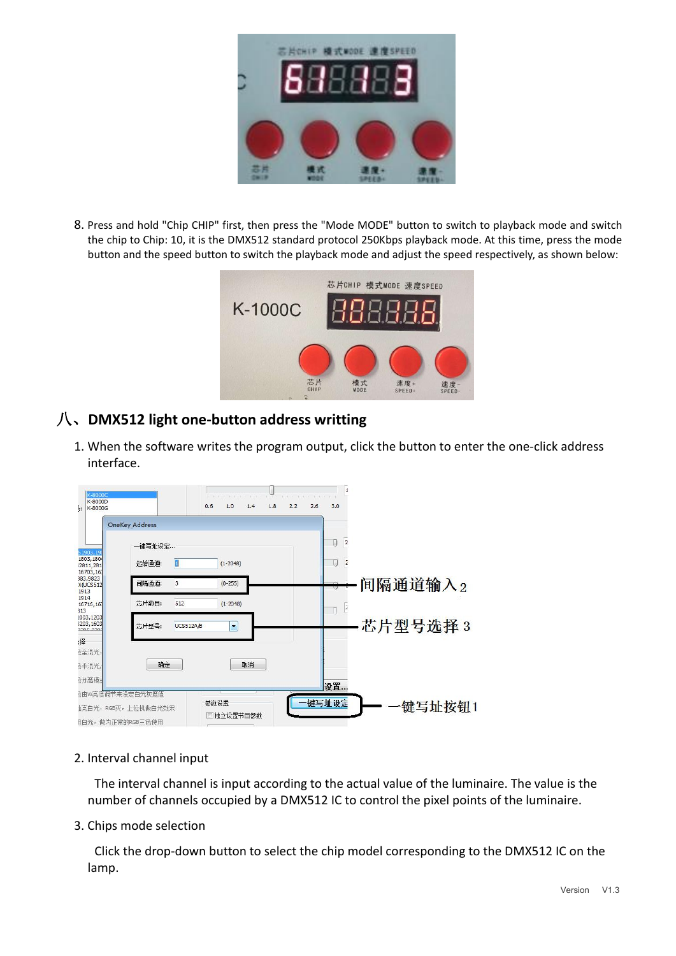

8. Press and hold "Chip CHIP" first, then press the "Mode MODE" button to switch to playback mode and switch the chip to Chip: 10, it is the DMX512 standard protocol 250Kbps playback mode. At this time, press the mode button and the speed button to switch the playback mode and adjust the speed respectively, as shown below:



## 八、**DMX512 light one-button address writting**

1. When the software writes the program output, click the button to enter the one-click address interface.



#### 2. Interval channel input

The interval channel is input according to the actual value of the luminaire. The value is the number of channels occupied by a DMX512 IC to control the pixel points of the luminaire.

#### 3. Chips mode selection

Click the drop-down button to select the chip model corresponding to the DMX512 IC on the lamp.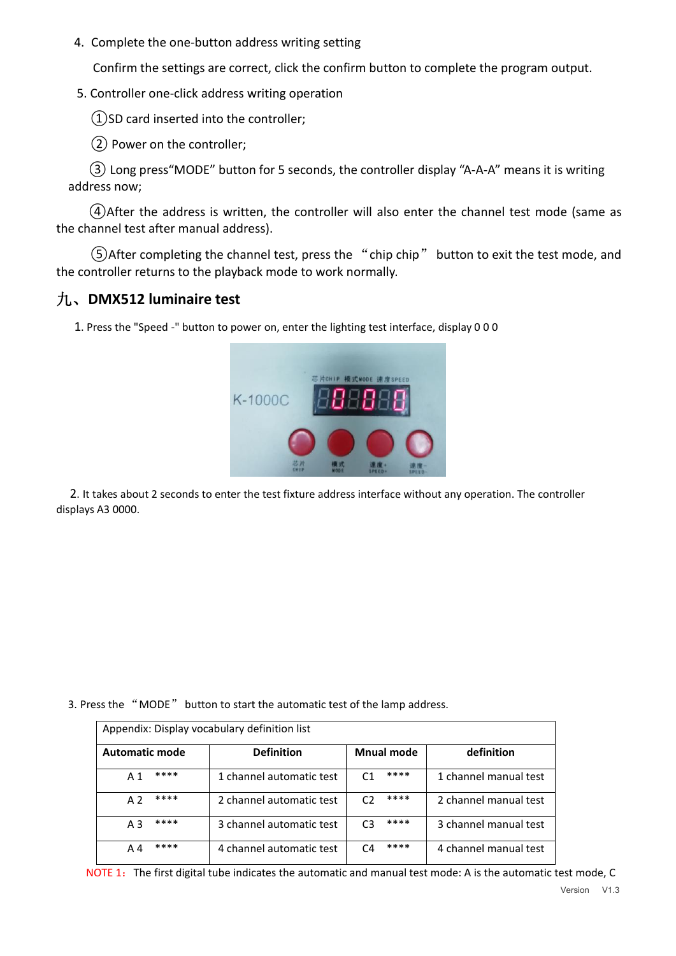4. Complete the one-button address writing setting

Confirm the settings are correct, click the confirm button to complete the program output.

5. Controller one-click address writing operation

①SD card inserted into the controller;

② Power on the controller;

③ Long press"MODE" button for 5 seconds, the controller display "A-A-A" means it is writing address now;

④After the address is written, the controller will also enter the channel test mode (same as the channel test after manual address).

⑤After completing the channel test, press the "chip chip" button to exit the test mode, and the controller returns to the playback mode to work normally.

#### 九、**DMX512 luminaire test**

1. Press the "Speed -" button to power on, enter the lighting test interface, display 0 0 0



2. It takes about 2 seconds to enter the test fixture address interface without any operation. The controller displays A3 0000.

3. Press the "MODE" button to start the automatic test of the lamp address.

| Appendix: Display vocabulary definition list |                          |                        |                       |  |
|----------------------------------------------|--------------------------|------------------------|-----------------------|--|
| <b>Automatic mode</b>                        | <b>Definition</b>        | <b>Mnual mode</b>      | definition            |  |
| ****<br>A 1                                  | 1 channel automatic test | ****<br>C1             | 1 channel manual test |  |
| ****<br>A <sub>2</sub>                       | 2 channel automatic test | ****<br>C <sub>2</sub> | 2 channel manual test |  |
| ****<br>A <sub>3</sub>                       | 3 channel automatic test | ****<br>C <sub>3</sub> | 3 channel manual test |  |
| ****<br>A 4                                  | 4 channel automatic test | ****<br>C4             | 4 channel manual test |  |

NOTE 1: The first digital tube indicates the automatic and manual test mode: A is the automatic test mode, C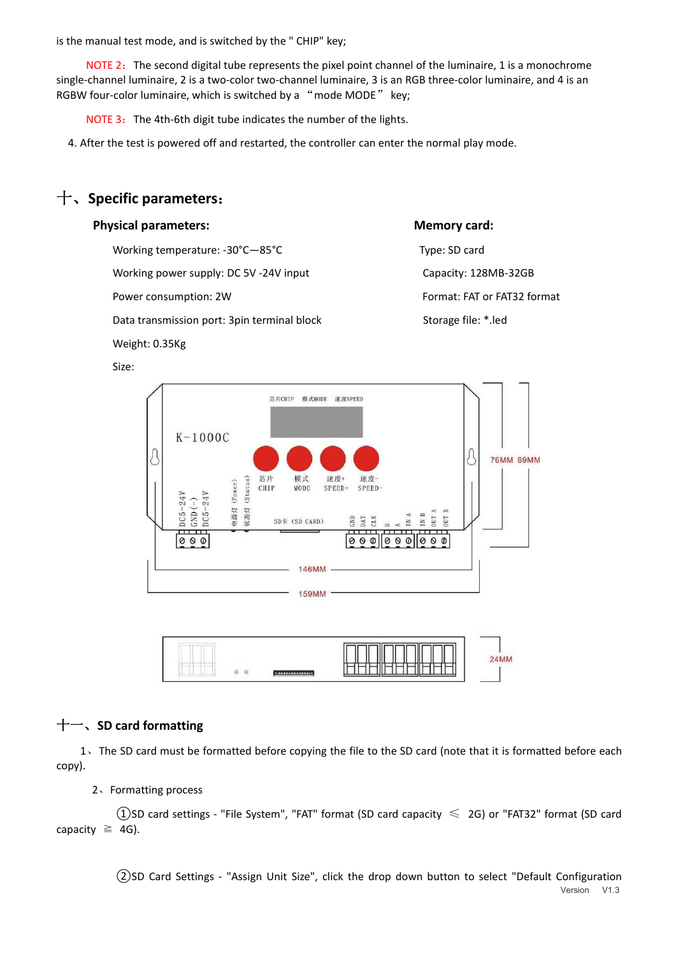is the manual test mode, and is switched by the " CHIP" key;

NOTE 2: The second digital tube represents the pixel point channel of the luminaire, 1 is a monochrome single-channel luminaire, 2 is a two-color two-channel luminaire, 3 is an RGB three-color luminaire, and 4 is an RGBW four-color luminaire, which is switched by a "mode MODE" key;

NOTE 3: The 4th-6th digit tube indicates the number of the lights.

4. After the test is powered off and restarted, the controller can enter the normal play mode.

# 十、**Specific parameters**:

#### **Physical parameters: Memory card:**

Working temperature: -30°C-85°C Type: SD card

Working power supply: DC 5V -24V input Capacity: 128MB-32GB

Power consumption: 2W Format: FAT or FAT32 format: FAT or FAT32 format

Data transmission port: 3pin terminal block Storage file: \*.led

Weight: 0.35Kg

Size:





#### 十一、**SD card formatting**

1、The SD card must be formatted before copying the file to the SD card (note that it is formatted before each copy).

#### 2、Formatting process

 $(1)$ SD card settings - "File System", "FAT" format (SD card capacity  $\leq 2$ G) or "FAT32" format (SD card capacity  $\geq$  4G).

> Version V1.3 ②SD Card Settings - "Assign Unit Size", click the drop down button to select "Default Configuration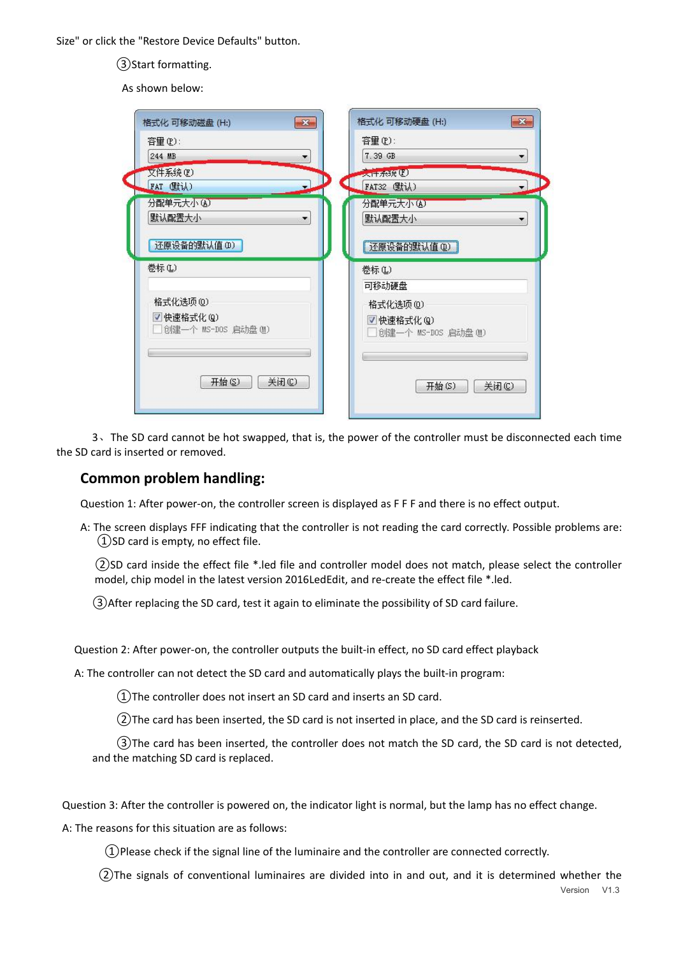Size" or click the "Restore Device Defaults" button.

③Start formatting.

As shown below:

| $\mathbf{x}$<br>格式化 可移动磁盘 (H:)     | $\mathbf{x}$<br>格式化 可移动硬盘 (H:)      |
|------------------------------------|-------------------------------------|
| 容量(P):                             | 容量(P):                              |
| 244 MB                             | 7.39 GB                             |
| 文件系统(F)                            | 人口余貌(2)                             |
| FAT (默认)                           | FAT32 (默认)                          |
| 分配单元大小(A)                          | 分配单元大小(A)                           |
| 默认配置大小<br>$\overline{\phantom{a}}$ | 默认配置大小                              |
| 还原设备的默认值(D)<br>卷标(L)               | [ 还原设备的默认值 (D) ]<br>卷标(L)<br>可移动硬盘  |
| 格式化选项(0)                           | 格式化选项 (Q)                           |
| Ⅴ 快速格式化(Q)<br>□创建一个 MS-DOS 启动盘(M)  | Ⅴ 快速格式化 (Q)<br>  创建一个 MS-DOS 启动盘(M) |
| 关闭(C)<br>开始(S)                     | 开始(S)<br>关闭(C)                      |

3、The SD card cannot be hot swapped, that is, the powerof the controller must be disconnected each time the SD card is inserted or removed.

#### **Common problem handling:**

Question 1: After power-on, the controller screen is displayed as F F F and there is no effect output.

A: The screen displays FFF indicating that the controller is not reading the card correctly. Possible problems are:  $(1)$ SD card is empty, no effect file.

②SD card inside the effect file \*.led file and controller model does not match, please select the controller model, chip model in the latest version 2016LedEdit, and re-create the effect file \*.led.

③After replacing the SD card, test it again to eliminate the possibility of SD card failure.

Question 2: After power-on, the controller outputs the built-in effect, no SD card effect playback

A: The controller can not detect the SD card and automatically plays the built-in program:

①The controller does not insert an SD card and inserts an SD card.

②The card has been inserted, the SD card is not inserted in place, and the SD card is reinserted.

③The card has been inserted, the controller does not match the SD card, the SD card is not detected, and the matching SD card is replaced.

Question 3: After the controller is powered on, the indicator light is normal, but the lamp has no effect change.

A: The reasons for this situation are as follows:

①Please check if the signal line of the luminaire and the controller are connected correctly.

②The signals of conventional luminaires are divided into in and out, and it is determined whether the